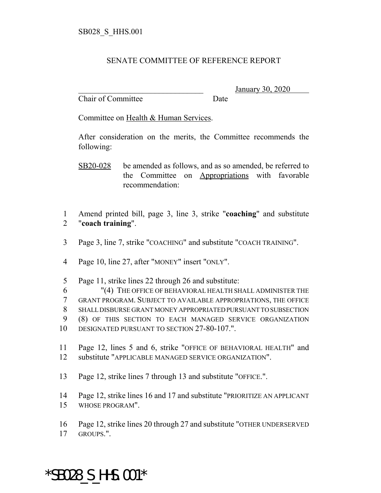## SENATE COMMITTEE OF REFERENCE REPORT

Chair of Committee Date

\_\_\_\_\_\_\_\_\_\_\_\_\_\_\_\_\_\_\_\_\_\_\_\_\_\_\_\_\_\_\_ January 30, 2020

Committee on Health & Human Services.

After consideration on the merits, the Committee recommends the following:

 Amend printed bill, page 3, line 3, strike "**coaching**" and substitute "**coach training**".

Page 3, line 7, strike "COACHING" and substitute "COACH TRAINING".

Page 10, line 27, after "MONEY" insert "ONLY".

- Page 11, strike lines 22 through 26 and substitute:
- "(4) THE OFFICE OF BEHAVIORAL HEALTH SHALL ADMINISTER THE GRANT PROGRAM. SUBJECT TO AVAILABLE APPROPRIATIONS, THE OFFICE SHALL DISBURSE GRANT MONEY APPROPRIATED PURSUANT TO SUBSECTION (8) OF THIS SECTION TO EACH MANAGED SERVICE ORGANIZATION DESIGNATED PURSUANT TO SECTION 27-80-107.".
- Page 12, lines 5 and 6, strike "OFFICE OF BEHAVIORAL HEALTH" and substitute "APPLICABLE MANAGED SERVICE ORGANIZATION".
- Page 12, strike lines 7 through 13 and substitute "OFFICE.".
- Page 12, strike lines 16 and 17 and substitute "PRIORITIZE AN APPLICANT WHOSE PROGRAM".
- Page 12, strike lines 20 through 27 and substitute "OTHER UNDERSERVED

GROUPS.".

## \*SB028\_S\_HHS.001\*

SB20-028 be amended as follows, and as so amended, be referred to the Committee on Appropriations with favorable recommendation: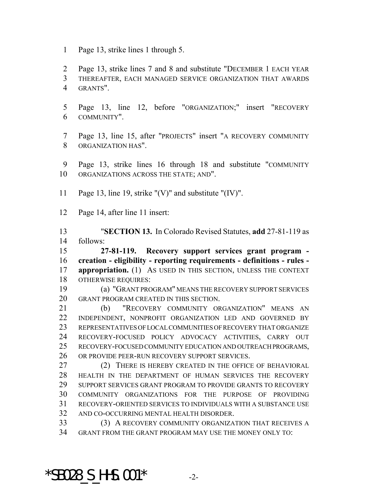Page 13, strike lines 1 through 5.

 Page 13, strike lines 7 and 8 and substitute "DECEMBER 1 EACH YEAR THEREAFTER, EACH MANAGED SERVICE ORGANIZATION THAT AWARDS GRANTS".

- Page 13, line 12, before "ORGANIZATION;" insert "RECOVERY COMMUNITY".
- Page 13, line 15, after "PROJECTS" insert "A RECOVERY COMMUNITY ORGANIZATION HAS".
- Page 13, strike lines 16 through 18 and substitute "COMMUNITY ORGANIZATIONS ACROSS THE STATE; AND".
- Page 13, line 19, strike "(V)" and substitute "(IV)".

Page 14, after line 11 insert:

 "**SECTION 13.** In Colorado Revised Statutes, **add** 27-81-119 as follows:

 **27-81-119. Recovery support services grant program - creation - eligibility - reporting requirements - definitions - rules - appropriation.** (1) As USED IN THIS SECTION, UNLESS THE CONTEXT OTHERWISE REQUIRES:

 (a) "GRANT PROGRAM" MEANS THE RECOVERY SUPPORT SERVICES GRANT PROGRAM CREATED IN THIS SECTION.

 (b) "RECOVERY COMMUNITY ORGANIZATION" MEANS AN INDEPENDENT, NONPROFIT ORGANIZATION LED AND GOVERNED BY REPRESENTATIVES OF LOCAL COMMUNITIES OF RECOVERY THAT ORGANIZE RECOVERY-FOCUSED POLICY ADVOCACY ACTIVITIES, CARRY OUT RECOVERY-FOCUSED COMMUNITY EDUCATION AND OUTREACH PROGRAMS, OR PROVIDE PEER-RUN RECOVERY SUPPORT SERVICES.

27 (2) THERE IS HEREBY CREATED IN THE OFFICE OF BEHAVIORAL HEALTH IN THE DEPARTMENT OF HUMAN SERVICES THE RECOVERY SUPPORT SERVICES GRANT PROGRAM TO PROVIDE GRANTS TO RECOVERY COMMUNITY ORGANIZATIONS FOR THE PURPOSE OF PROVIDING RECOVERY-ORIENTED SERVICES TO INDIVIDUALS WITH A SUBSTANCE USE AND CO-OCCURRING MENTAL HEALTH DISORDER.

 (3) A RECOVERY COMMUNITY ORGANIZATION THAT RECEIVES A GRANT FROM THE GRANT PROGRAM MAY USE THE MONEY ONLY TO:

 $*$ SB028 S HHS.001 $*$  -2-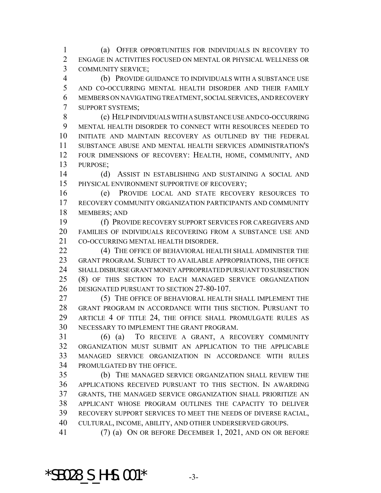(a) OFFER OPPORTUNITIES FOR INDIVIDUALS IN RECOVERY TO ENGAGE IN ACTIVITIES FOCUSED ON MENTAL OR PHYSICAL WELLNESS OR COMMUNITY SERVICE;

 (b) PROVIDE GUIDANCE TO INDIVIDUALS WITH A SUBSTANCE USE AND CO-OCCURRING MENTAL HEALTH DISORDER AND THEIR FAMILY MEMBERS ON NAVIGATING TREATMENT, SOCIAL SERVICES, AND RECOVERY SUPPORT SYSTEMS;

 (c) HELP INDIVIDUALS WITH A SUBSTANCE USE AND CO-OCCURRING MENTAL HEALTH DISORDER TO CONNECT WITH RESOURCES NEEDED TO INITIATE AND MAINTAIN RECOVERY AS OUTLINED BY THE FEDERAL SUBSTANCE ABUSE AND MENTAL HEALTH SERVICES ADMINISTRATION'S FOUR DIMENSIONS OF RECOVERY: HEALTH, HOME, COMMUNITY, AND PURPOSE;

 (d) ASSIST IN ESTABLISHING AND SUSTAINING A SOCIAL AND PHYSICAL ENVIRONMENT SUPPORTIVE OF RECOVERY;

 (e) PROVIDE LOCAL AND STATE RECOVERY RESOURCES TO RECOVERY COMMUNITY ORGANIZATION PARTICIPANTS AND COMMUNITY MEMBERS; AND

 (f) PROVIDE RECOVERY SUPPORT SERVICES FOR CAREGIVERS AND FAMILIES OF INDIVIDUALS RECOVERING FROM A SUBSTANCE USE AND CO-OCCURRING MENTAL HEALTH DISORDER.

**(4) THE OFFICE OF BEHAVIORAL HEALTH SHALL ADMINISTER THE**  GRANT PROGRAM. SUBJECT TO AVAILABLE APPROPRIATIONS, THE OFFICE SHALL DISBURSE GRANT MONEY APPROPRIATED PURSUANT TO SUBSECTION (8) OF THIS SECTION TO EACH MANAGED SERVICE ORGANIZATION DESIGNATED PURSUANT TO SECTION 27-80-107.

 (5) THE OFFICE OF BEHAVIORAL HEALTH SHALL IMPLEMENT THE GRANT PROGRAM IN ACCORDANCE WITH THIS SECTION. PURSUANT TO ARTICLE 4 OF TITLE 24, THE OFFICE SHALL PROMULGATE RULES AS NECESSARY TO IMPLEMENT THE GRANT PROGRAM.

 (6) (a) TO RECEIVE A GRANT, A RECOVERY COMMUNITY ORGANIZATION MUST SUBMIT AN APPLICATION TO THE APPLICABLE MANAGED SERVICE ORGANIZATION IN ACCORDANCE WITH RULES PROMULGATED BY THE OFFICE.

 (b) THE MANAGED SERVICE ORGANIZATION SHALL REVIEW THE APPLICATIONS RECEIVED PURSUANT TO THIS SECTION. IN AWARDING GRANTS, THE MANAGED SERVICE ORGANIZATION SHALL PRIORITIZE AN APPLICANT WHOSE PROGRAM OUTLINES THE CAPACITY TO DELIVER RECOVERY SUPPORT SERVICES TO MEET THE NEEDS OF DIVERSE RACIAL, CULTURAL, INCOME, ABILITY, AND OTHER UNDERSERVED GROUPS.

(7) (a) ON OR BEFORE DECEMBER 1, 2021, AND ON OR BEFORE

 $*$ SB028 S HHS.001 $*$  -3-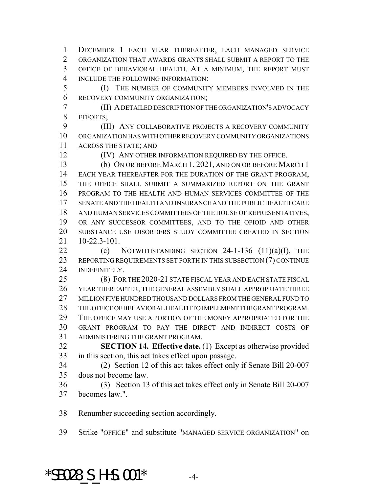DECEMBER 1 EACH YEAR THEREAFTER, EACH MANAGED SERVICE ORGANIZATION THAT AWARDS GRANTS SHALL SUBMIT A REPORT TO THE OFFICE OF BEHAVIORAL HEALTH. AT A MINIMUM, THE REPORT MUST INCLUDE THE FOLLOWING INFORMATION:

 (I) THE NUMBER OF COMMUNITY MEMBERS INVOLVED IN THE RECOVERY COMMUNITY ORGANIZATION;

 (II) A DETAILED DESCRIPTION OF THE ORGANIZATION'S ADVOCACY EFFORTS;

 (III) ANY COLLABORATIVE PROJECTS A RECOVERY COMMUNITY ORGANIZATION HAS WITH OTHER RECOVERY COMMUNITY ORGANIZATIONS ACROSS THE STATE; AND

(IV) ANY OTHER INFORMATION REQUIRED BY THE OFFICE.

 (b) ON OR BEFORE MARCH 1, 2021, AND ON OR BEFORE MARCH 1 EACH YEAR THEREAFTER FOR THE DURATION OF THE GRANT PROGRAM, THE OFFICE SHALL SUBMIT A SUMMARIZED REPORT ON THE GRANT PROGRAM TO THE HEALTH AND HUMAN SERVICES COMMITTEE OF THE SENATE AND THE HEALTH AND INSURANCE AND THE PUBLIC HEALTH CARE AND HUMAN SERVICES COMMITTEES OF THE HOUSE OF REPRESENTATIVES, OR ANY SUCCESSOR COMMITTEES, AND TO THE OPIOID AND OTHER SUBSTANCE USE DISORDERS STUDY COMMITTEE CREATED IN SECTION 10-22.3-101.

22 (c) NOTWITHSTANDING SECTION -1-136  $(11)(a)(I)$ , THE REPORTING REQUIREMENTS SET FORTH IN THIS SUBSECTION (7) CONTINUE INDEFINITELY.

 (8) FOR THE 2020-21 STATE FISCAL YEAR AND EACH STATE FISCAL YEAR THEREAFTER, THE GENERAL ASSEMBLY SHALL APPROPRIATE THREE MILLION FIVE HUNDRED THOUSAND DOLLARS FROM THE GENERAL FUND TO THE OFFICE OF BEHAVIORAL HEALTH TO IMPLEMENT THE GRANT PROGRAM. THE OFFICE MAY USE A PORTION OF THE MONEY APPROPRIATED FOR THE GRANT PROGRAM TO PAY THE DIRECT AND INDIRECT COSTS OF ADMINISTERING THE GRANT PROGRAM.

 **SECTION 14. Effective date.** (1) Except as otherwise provided in this section, this act takes effect upon passage.

 (2) Section 12 of this act takes effect only if Senate Bill 20-007 does not become law.

 (3) Section 13 of this act takes effect only in Senate Bill 20-007 becomes law.".

Renumber succeeding section accordingly.

Strike "OFFICE" and substitute "MANAGED SERVICE ORGANIZATION" on

 $*$ SB028 S HHS.001 $*$  -4-